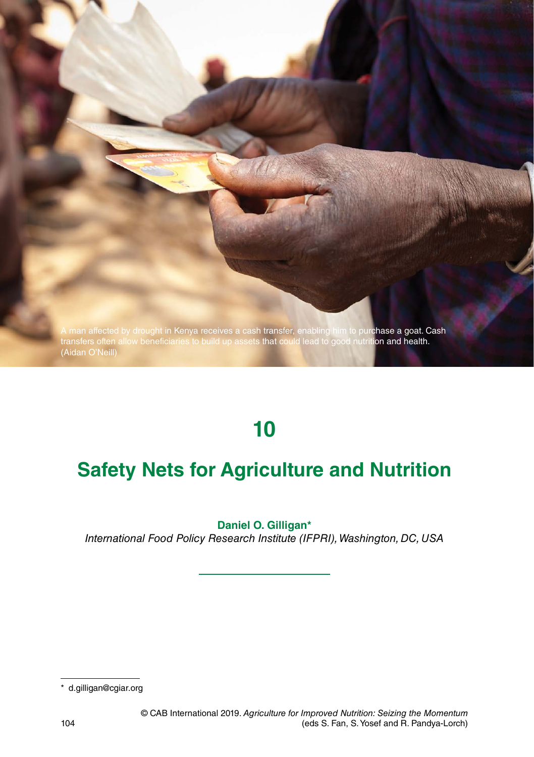A man affected by drought in Kenya receives a cash transfer, enabling him to purchase a goat. Cash transfers often allow beneficiaries to build up assets that could lead to good nutriti**on and health.** (Aidan O'Neill)

# **10**

# **[Safety Nets for Agriculture and Nutrition](#page--1-0)**

**Daniel O. Gilligan\***

*International Food Policy Research Institute (IFPRI), Washington, DC, USA*

<sup>\*</sup> d.gilligan@cgiar.org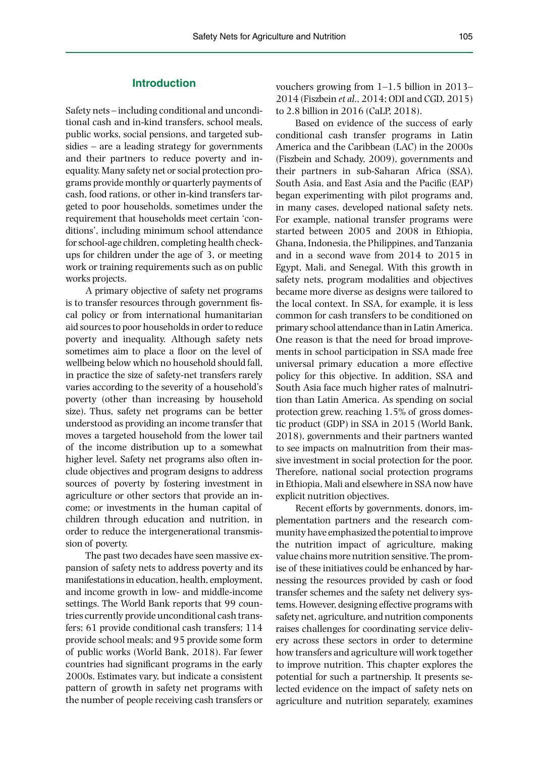### **Introduction**

Safety nets – including conditional and unconditional cash and in-kind transfers, school meals, public works, social pensions, and targeted subsidies – are a leading strategy for governments and their partners to reduce poverty and inequality. Many safety net or social protection programs provide monthly or quarterly payments of cash, food rations, or other in-kind transfers targeted to poor households, sometimes under the requirement that households meet certain 'conditions', including minimum school attendance for school-age children, completing health checkups for children under the age of 3, or meeting work or training requirements such as on public works projects.

A primary objective of safety net programs is to transfer resources through government fiscal policy or from international humanitarian aid sources to poor households in order to reduce poverty and inequality. Although safety nets sometimes aim to place a floor on the level of wellbeing below which no household should fall, in practice the size of safety-net transfers rarely varies according to the severity of a household's poverty (other than increasing by household size). Thus, safety net programs can be better understood as providing an income transfer that moves a targeted household from the lower tail of the income distribution up to a somewhat higher level. Safety net programs also often include objectives and program designs to address sources of poverty by fostering investment in agriculture or other sectors that provide an income; or investments in the human capital of children through education and nutrition, in order to reduce the intergenerational transmission of poverty.

The past two decades have seen massive expansion of safety nets to address poverty and its manifestations in education, health, employment, and income growth in low- and middle-income settings. The World Bank reports that 99 countries currently provide unconditional cash transfers; 61 provide conditional cash transfers; 114 provide school meals; and 95 provide some form of public works (World Bank, 2018). Far fewer countries had significant programs in the early 2000s. Estimates vary, but indicate a consistent pattern of growth in safety net programs with the number of people receiving cash transfers or vouchers growing from 1–1.5 billion in 2013– 2014 (Fiszbein *et al*., 2014; ODI and CGD, 2015) to 2.8 billion in 2016 (CaLP, 2018).

Based on evidence of the success of early conditional cash transfer programs in Latin America and the Caribbean (LAC) in the 2000s (Fiszbein and Schady, 2009), governments and their partners in sub-Saharan Africa (SSA), South Asia, and East Asia and the Pacific (EAP) began experimenting with pilot programs and, in many cases, developed national safety nets. For example, national transfer programs were started between 2005 and 2008 in Ethiopia, Ghana, Indonesia, the Philippines, and Tanzania and in a second wave from 2014 to 2015 in Egypt, Mali, and Senegal. With this growth in safety nets, program modalities and objectives became more diverse as designs were tailored to the local context. In SSA, for example, it is less common for cash transfers to be conditioned on primary school attendance than in Latin America. One reason is that the need for broad improvements in school participation in SSA made free universal primary education a more effective policy for this objective. In addition, SSA and South Asia face much higher rates of malnutrition than Latin America. As spending on social protection grew, reaching 1.5% of gross domestic product (GDP) in SSA in 2015 (World Bank, 2018), governments and their partners wanted to see impacts on malnutrition from their massive investment in social protection for the poor. Therefore, national social protection programs in Ethiopia, Mali and elsewhere in SSA now have explicit nutrition objectives.

Recent efforts by governments, donors, implementation partners and the research community have emphasized the potential to improve the nutrition impact of agriculture, making value chains more nutrition sensitive. The promise of these initiatives could be enhanced by harnessing the resources provided by cash or food transfer schemes and the safety net delivery systems. However, designing effective programs with safety net, agriculture, and nutrition components raises challenges for coordinating service delivery across these sectors in order to determine how transfers and agriculture will work together to improve nutrition. This chapter explores the potential for such a partnership. It presents selected evidence on the impact of safety nets on agriculture and nutrition separately, examines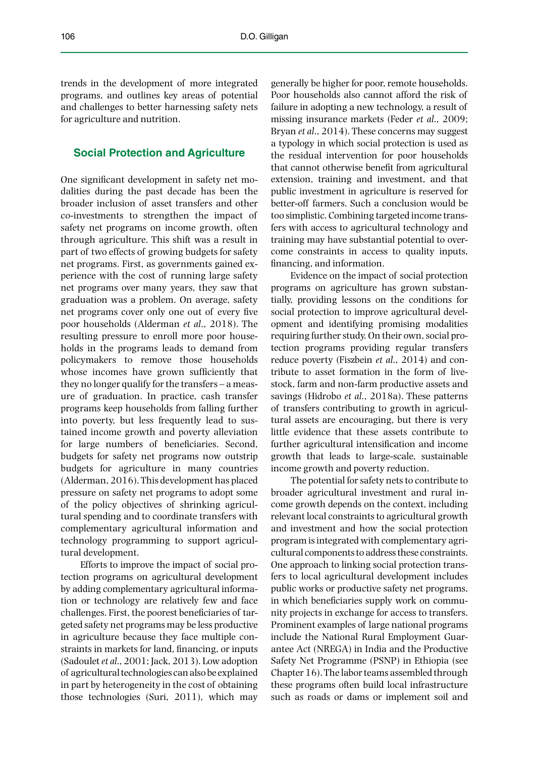trends in the development of more integrated programs, and outlines key areas of potential and challenges to better harnessing safety nets for agriculture and nutrition.

#### **Social Protection and Agriculture**

One significant development in safety net modalities during the past decade has been the broader inclusion of asset transfers and other co-investments to strengthen the impact of safety net programs on income growth, often through agriculture. This shift was a result in part of two effects of growing budgets for safety net programs. First, as governments gained experience with the cost of running large safety net programs over many years, they saw that graduation was a problem. On average, safety net programs cover only one out of every five poor households (Alderman *et al*., 2018). The resulting pressure to enroll more poor households in the programs leads to demand from policymakers to remove those households whose incomes have grown sufficiently that they no longer qualify for the transfers – a measure of graduation. In practice, cash transfer programs keep households from falling further into poverty, but less frequently lead to sustained income growth and poverty alleviation for large numbers of beneficiaries. Second, budgets for safety net programs now outstrip budgets for agriculture in many countries (Alderman, 2016). This development has placed pressure on safety net programs to adopt some of the policy objectives of shrinking agricultural spending and to coordinate transfers with complementary agricultural information and technology programming to support agricultural development.

Efforts to improve the impact of social protection programs on agricultural development by adding complementary agricultural information or technology are relatively few and face challenges. First, the poorest beneficiaries of targeted safety net programs may be less productive in agriculture because they face multiple constraints in markets for land, financing, or inputs (Sadoulet *et al*., 2001; Jack, 2013). Low adoption of agricultural technologies can also be explained in part by heterogeneity in the cost of obtaining those technologies (Suri, 2011), which may generally be higher for poor, remote households. Poor households also cannot afford the risk of failure in adopting a new technology, a result of missing insurance markets (Feder *et al*., 2009; Bryan *et al*., 2014). These concerns may suggest a typology in which social protection is used as the residual intervention for poor households that cannot otherwise benefit from agricultural extension, training and investment, and that public investment in agriculture is reserved for better-off farmers. Such a conclusion would be too simplistic. Combining targeted income transfers with access to agricultural technology and training may have substantial potential to overcome constraints in access to quality inputs, financing, and information.

Evidence on the impact of social protection programs on agriculture has grown substantially, providing lessons on the conditions for social protection to improve agricultural development and identifying promising modalities requiring further study. On their own, social protection programs providing regular transfers reduce poverty (Fiszbein *et al*., 2014) and contribute to asset formation in the form of livestock, farm and non-farm productive assets and savings (Hidrobo *et al*., 2018a). These patterns of transfers contributing to growth in agricultural assets are encouraging, but there is very little evidence that these assets contribute to further agricultural intensification and income growth that leads to large-scale, sustainable income growth and poverty reduction.

The potential for safety nets to contribute to broader agricultural investment and rural income growth depends on the context, including relevant local constraints to agricultural growth and investment and how the social protection program is integrated with complementary agricultural components to address these constraints. One approach to linking social protection transfers to local agricultural development includes public works or productive safety net programs, in which beneficiaries supply work on community projects in exchange for access to transfers. Prominent examples of large national programs include the National Rural Employment Guarantee Act (NREGA) in India and the Productive Safety Net Programme (PSNP) in Ethiopia (see Chapter 16). The labor teams assembled through these programs often build local infrastructure such as roads or dams or implement soil and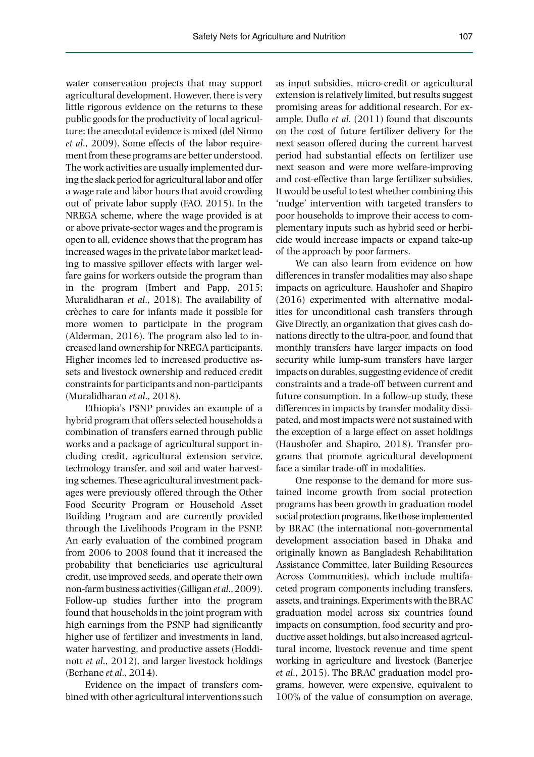water conservation projects that may support agricultural development. However, there is very little rigorous evidence on the returns to these public goods for the productivity of local agriculture; the anecdotal evidence is mixed (del Ninno *et al*., 2009). Some effects of the labor requirement from these programs are better understood. The work activities are usually implemented during the slack period for agricultural labor and offer a wage rate and labor hours that avoid crowding out of private labor supply (FAO, 2015). In the NREGA scheme, where the wage provided is at or above private-sector wages and the program is open to all, evidence shows that the program has increased wages in the private labor market leading to massive spillover effects with larger welfare gains for workers outside the program than in the program (Imbert and Papp, 2015; Muralidharan *et al*., 2018). The availability of crèches to care for infants made it possible for more women to participate in the program (Alderman, 2016). The program also led to increased land ownership for NREGA participants. Higher incomes led to increased productive assets and livestock ownership and reduced credit constraints for participants and non-participants (Muralidharan *et al*., 2018).

Ethiopia's PSNP provides an example of a hybrid program that offers selected households a combination of transfers earned through public works and a package of agricultural support including credit, agricultural extension service, technology transfer, and soil and water harvesting schemes. These agricultural investment packages were previously offered through the Other Food Security Program or Household Asset Building Program and are currently provided through the Livelihoods Program in the PSNP. An early evaluation of the combined program from 2006 to 2008 found that it increased the probability that beneficiaries use agricultural credit, use improved seeds, and operate their own non-farm business activities (Gilligan *et al*., 2009). Follow-up studies further into the program found that households in the joint program with high earnings from the PSNP had significantly higher use of fertilizer and investments in land, water harvesting, and productive assets (Hoddinott *et al*., 2012), and larger livestock holdings (Berhane *et al*., 2014).

Evidence on the impact of transfers combined with other agricultural interventions such as input subsidies, micro-credit or agricultural extension is relatively limited, but results suggest promising areas for additional research. For example, Duflo *et al*. (2011) found that discounts on the cost of future fertilizer delivery for the next season offered during the current harvest period had substantial effects on fertilizer use next season and were more welfare-improving and cost-effective than large fertilizer subsidies. It would be useful to test whether combining this 'nudge' intervention with targeted transfers to poor households to improve their access to complementary inputs such as hybrid seed or herbicide would increase impacts or expand take-up of the approach by poor farmers.

We can also learn from evidence on how differences in transfer modalities may also shape impacts on agriculture. Haushofer and Shapiro (2016) experimented with alternative modalities for unconditional cash transfers through Give Directly, an organization that gives cash donations directly to the ultra-poor, and found that monthly transfers have larger impacts on food security while lump-sum transfers have larger impacts on durables, suggesting evidence of credit constraints and a trade-off between current and future consumption. In a follow-up study, these differences in impacts by transfer modality dissipated, and most impacts were not sustained with the exception of a large effect on asset holdings (Haushofer and Shapiro, 2018). Transfer programs that promote agricultural development face a similar trade-off in modalities.

One response to the demand for more sustained income growth from social protection programs has been growth in graduation model social protection programs, like those implemented by BRAC (the international non-governmental development association based in Dhaka and originally known as Bangladesh Rehabilitation Assistance Committee, later Building Resources Across Communities), which include multifaceted program components including transfers, assets, and trainings. Experiments with the BRAC graduation model across six countries found impacts on consumption, food security and productive asset holdings, but also increased agricultural income, livestock revenue and time spent working in agriculture and livestock (Banerjee *et al*., 2015). The BRAC graduation model programs, however, were expensive, equivalent to 100% of the value of consumption on average,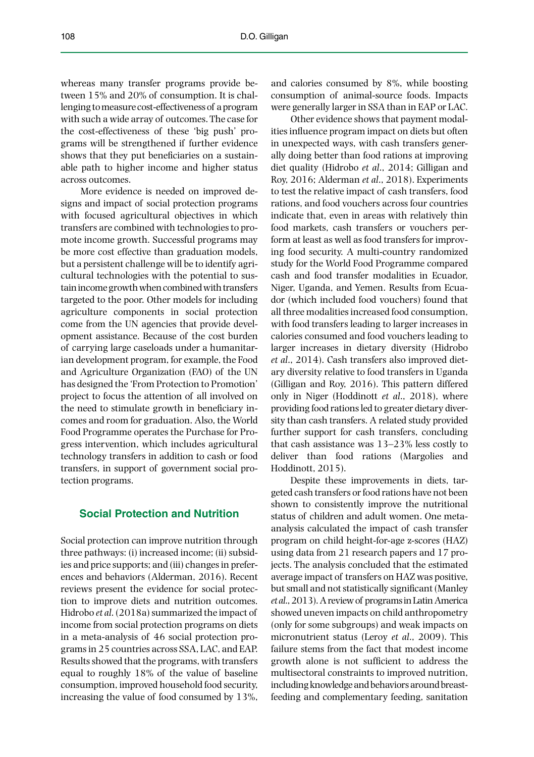whereas many transfer programs provide between 15% and 20% of consumption. It is challenging to measure cost-effectiveness of a program with such a wide array of outcomes. The case for the cost-effectiveness of these 'big push' programs will be strengthened if further evidence shows that they put beneficiaries on a sustainable path to higher income and higher status across outcomes.

More evidence is needed on improved designs and impact of social protection programs with focused agricultural objectives in which transfers are combined with technologies to promote income growth. Successful programs may be more cost effective than graduation models, but a persistent challenge will be to identify agricultural technologies with the potential to sustain income growth when combined with transfers targeted to the poor. Other models for including agriculture components in social protection come from the UN agencies that provide development assistance. Because of the cost burden of carrying large caseloads under a humanitarian development program, for example, the Food and Agriculture Organization (FAO) of the UN has designed the 'From Protection to Promotion' project to focus the attention of all involved on the need to stimulate growth in beneficiary incomes and room for graduation. Also, the World Food Programme operates the Purchase for Progress intervention, which includes agricultural technology transfers in addition to cash or food transfers, in support of government social protection programs.

## **Social Protection and Nutrition**

Social protection can improve nutrition through three pathways: (i) increased income; (ii) subsidies and price supports; and (iii) changes in preferences and behaviors (Alderman, 2016). Recent reviews present the evidence for social protection to improve diets and nutrition outcomes. Hidrobo *et al*. (2018a) summarized the impact of income from social protection programs on diets in a meta-analysis of 46 social protection programs in 25 countries across SSA, LAC, and EAP. Results showed that the programs, with transfers equal to roughly 18% of the value of baseline consumption, improved household food security, increasing the value of food consumed by 13%, and calories consumed by 8%, while boosting consumption of animal-source foods. Impacts were generally larger in SSA than in EAP or LAC.

Other evidence shows that payment modalities influence program impact on diets but often in unexpected ways, with cash transfers generally doing better than food rations at improving diet quality (Hidrobo *et al*., 2014; Gilligan and Roy, 2016; Alderman *et al*., 2018). Experiments to test the relative impact of cash transfers, food rations, and food vouchers across four countries indicate that, even in areas with relatively thin food markets, cash transfers or vouchers perform at least as well as food transfers for improving food security. A multi-country randomized study for the World Food Programme compared cash and food transfer modalities in Ecuador, Niger, Uganda, and Yemen. Results from Ecuador (which included food vouchers) found that all three modalities increased food consumption, with food transfers leading to larger increases in calories consumed and food vouchers leading to larger increases in dietary diversity (Hidrobo *et al*., 2014). Cash transfers also improved dietary diversity relative to food transfers in Uganda (Gilligan and Roy, 2016). This pattern differed only in Niger (Hoddinott *et al*., 2018), where providing food rations led to greater dietary diversity than cash transfers. A related study provided further support for cash transfers, concluding that cash assistance was 13–23% less costly to deliver than food rations (Margolies and Hoddinott, 2015).

Despite these improvements in diets, targeted cash transfers or food rations have not been shown to consistently improve the nutritional status of children and adult women. One metaanalysis calculated the impact of cash transfer program on child height-for-age z-scores (HAZ) using data from 21 research papers and 17 projects. The analysis concluded that the estimated average impact of transfers on HAZ was positive, but small and not statistically significant (Manley *et al*., 2013). A review of programs in Latin America showed uneven impacts on child anthropometry (only for some subgroups) and weak impacts on micronutrient status (Leroy *et al*., 2009). This failure stems from the fact that modest income growth alone is not sufficient to address the multisectoral constraints to improved nutrition, including knowledge and behaviors around breastfeeding and complementary feeding, sanitation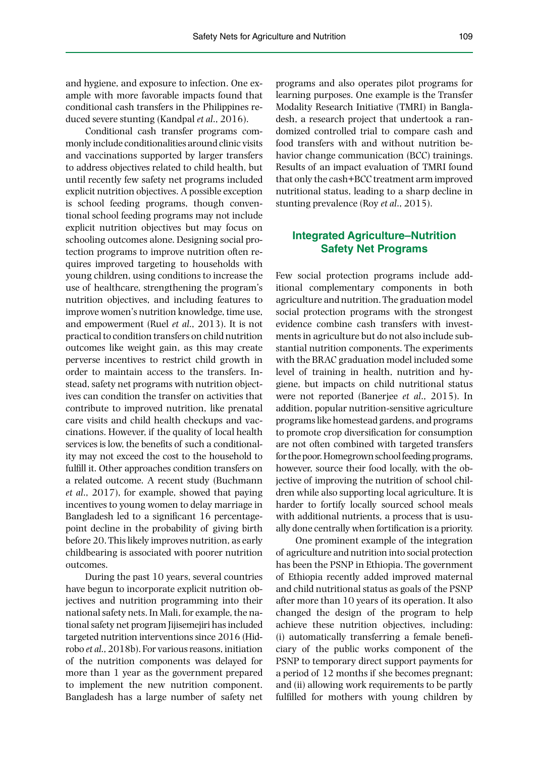and hygiene, and exposure to infection. One example with more favorable impacts found that conditional cash transfers in the Philippines reduced severe stunting (Kandpal *et al*., 2016).

Conditional cash transfer programs commonly include conditionalities around clinic visits and vaccinations supported by larger transfers to address objectives related to child health, but until recently few safety net programs included explicit nutrition objectives. A possible exception is school feeding programs, though conventional school feeding programs may not include explicit nutrition objectives but may focus on schooling outcomes alone. Designing social protection programs to improve nutrition often requires improved targeting to households with young children, using conditions to increase the use of healthcare, strengthening the program's nutrition objectives, and including features to improve women's nutrition knowledge, time use, and empowerment (Ruel *et al*., 2013). It is not practical to condition transfers on child nutrition outcomes like weight gain, as this may create perverse incentives to restrict child growth in order to maintain access to the transfers. Instead, safety net programs with nutrition objectives can condition the transfer on activities that contribute to improved nutrition, like prenatal care visits and child health checkups and vaccinations. However, if the quality of local health services is low, the benefits of such a conditionality may not exceed the cost to the household to fulfill it. Other approaches condition transfers on a related outcome. A recent study (Buchmann *et al*., 2017), for example, showed that paying incentives to young women to delay marriage in Bangladesh led to a significant 16 percentagepoint decline in the probability of giving birth before 20. This likely improves nutrition, as early childbearing is associated with poorer nutrition outcomes.

During the past 10 years, several countries have begun to incorporate explicit nutrition objectives and nutrition programming into their national safety nets. In Mali, for example, the national safety net program Jijisemejiri has included targeted nutrition interventions since 2016 (Hidrobo *et al*., 2018b). For various reasons, initiation of the nutrition components was delayed for more than 1 year as the government prepared to implement the new nutrition component. Bangladesh has a large number of safety net programs and also operates pilot programs for learning purposes. One example is the Transfer Modality Research Initiative (TMRI) in Bangladesh, a research project that undertook a randomized controlled trial to compare cash and food transfers with and without nutrition behavior change communication (BCC) trainings. Results of an impact evaluation of TMRI found that only the cash+BCC treatment arm improved nutritional status, leading to a sharp decline in stunting prevalence (Roy *et al*., 2015).

### **Integrated Agriculture–Nutrition Safety Net Programs**

Few social protection programs include additional complementary components in both agriculture and nutrition. The graduation model social protection programs with the strongest evidence combine cash transfers with investments in agriculture but do not also include substantial nutrition components. The experiments with the BRAC graduation model included some level of training in health, nutrition and hygiene, but impacts on child nutritional status were not reported (Banerjee *et al*., 2015). In addition, popular nutrition-sensitive agriculture programs like homestead gardens, and programs to promote crop diversification for consumption are not often combined with targeted transfers for the poor. Homegrown school feeding programs, however, source their food locally, with the objective of improving the nutrition of school children while also supporting local agriculture. It is harder to fortify locally sourced school meals with additional nutrients, a process that is usually done centrally when fortification is a priority.

One prominent example of the integration of agriculture and nutrition into social protection has been the PSNP in Ethiopia. The government of Ethiopia recently added improved maternal and child nutritional status as goals of the PSNP after more than 10 years of its operation. It also changed the design of the program to help achieve these nutrition objectives, including: (i) automatically transferring a female beneficiary of the public works component of the PSNP to temporary direct support payments for a period of 12 months if she becomes pregnant; and (ii) allowing work requirements to be partly fulfilled for mothers with young children by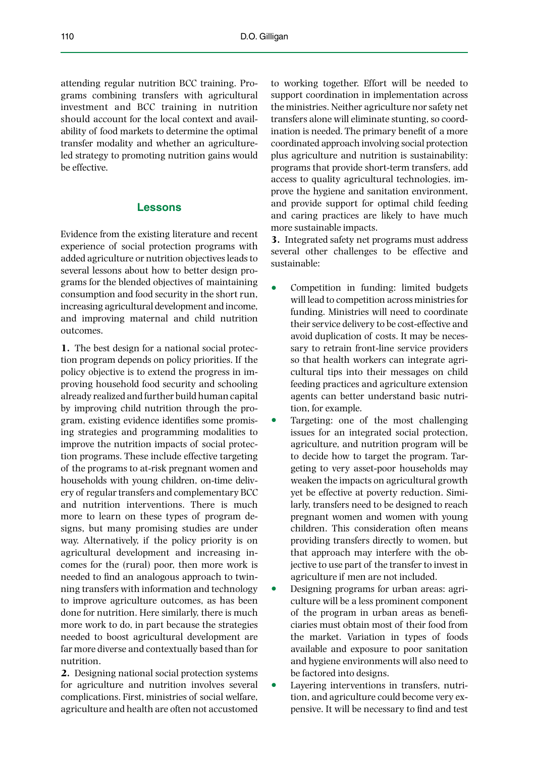attending regular nutrition BCC training. Programs combining transfers with agricultural investment and BCC training in nutrition should account for the local context and availability of food markets to determine the optimal transfer modality and whether an agricultureled strategy to promoting nutrition gains would be effective.

#### **Lessons**

Evidence from the existing literature and recent experience of social protection programs with added agriculture or nutrition objectives leads to several lessons about how to better design programs for the blended objectives of maintaining consumption and food security in the short run, increasing agricultural development and income, and improving maternal and child nutrition outcomes.

**1.** The best design for a national social protection program depends on policy priorities. If the policy objective is to extend the progress in improving household food security and schooling already realized and further build human capital by improving child nutrition through the program, existing evidence identifies some promising strategies and programming modalities to improve the nutrition impacts of social protection programs. These include effective targeting of the programs to at-risk pregnant women and households with young children, on-time delivery of regular transfers and complementary BCC and nutrition interventions. There is much more to learn on these types of program designs, but many promising studies are under way. Alternatively, if the policy priority is on agricultural development and increasing incomes for the (rural) poor, then more work is needed to find an analogous approach to twinning transfers with information and technology to improve agriculture outcomes, as has been done for nutrition. Here similarly, there is much more work to do, in part because the strategies needed to boost agricultural development are far more diverse and contextually based than for nutrition.

**2.** Designing national social protection systems for agriculture and nutrition involves several complications. First, ministries of social welfare, agriculture and health are often not accustomed to working together. Effort will be needed to support coordination in implementation across the ministries. Neither agriculture nor safety net transfers alone will eliminate stunting, so coordination is needed. The primary benefit of a more coordinated approach involving social protection plus agriculture and nutrition is sustainability: programs that provide short-term transfers, add access to quality agricultural technologies, improve the hygiene and sanitation environment, and provide support for optimal child feeding and caring practices are likely to have much more sustainable impacts.

**3.** Integrated safety net programs must address several other challenges to be effective and sustainable:

- Competition in funding: limited budgets will lead to competition across ministries for funding. Ministries will need to coordinate their service delivery to be cost-effective and avoid duplication of costs. It may be necessary to retrain front-line service providers so that health workers can integrate agricultural tips into their messages on child feeding practices and agriculture extension agents can better understand basic nutrition, for example.
- Targeting: one of the most challenging issues for an integrated social protection, agriculture, and nutrition program will be to decide how to target the program. Targeting to very asset-poor households may weaken the impacts on agricultural growth yet be effective at poverty reduction. Similarly, transfers need to be designed to reach pregnant women and women with young children. This consideration often means providing transfers directly to women, but that approach may interfere with the objective to use part of the transfer to invest in agriculture if men are not included.
- Designing programs for urban areas: agriculture will be a less prominent component of the program in urban areas as beneficiaries must obtain most of their food from the market. Variation in types of foods available and exposure to poor sanitation and hygiene environments will also need to be factored into designs.
- Layering interventions in transfers, nutrition, and agriculture could become very expensive. It will be necessary to find and test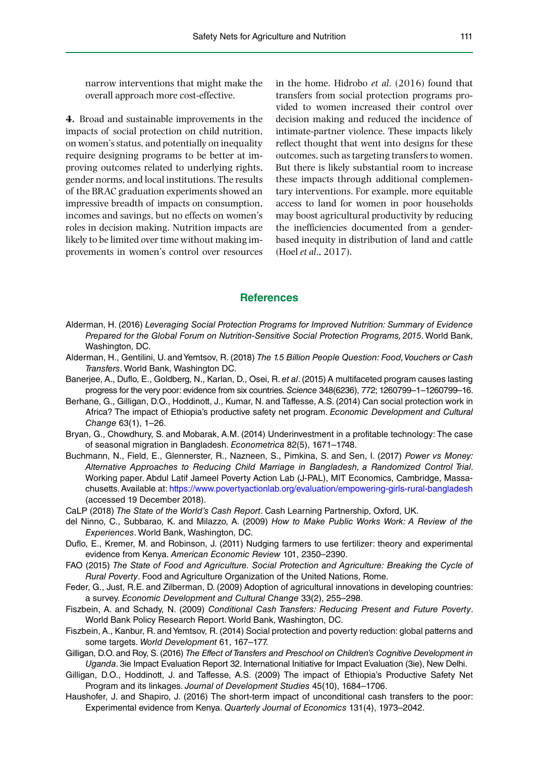narrow interventions that might make the overall approach more cost-effective.

**4.** Broad and sustainable improvements in the impacts of social protection on child nutrition, on women's status, and potentially on inequality require designing programs to be better at improving outcomes related to underlying rights, gender norms, and local institutions. The results of the BRAC graduation experiments showed an impressive breadth of impacts on consumption, incomes and savings, but no effects on women's roles in decision making. Nutrition impacts are likely to be limited over time without making improvements in women's control over resources in the home. Hidrobo *et al*. (2016) found that transfers from social protection programs provided to women increased their control over decision making and reduced the incidence of intimate-partner violence. These impacts likely reflect thought that went into designs for these outcomes, such as targeting transfers to women. But there is likely substantial room to increase these impacts through additional complementary interventions. For example, more equitable access to land for women in poor households may boost agricultural productivity by reducing the inefficiencies documented from a genderbased inequity in distribution of land and cattle (Hoel *et al*., 2017).

#### **References**

- Alderman, H. (2016) *Leveraging Social Protection Programs for Improved Nutrition: Summary of Evidence Prepared for the Global Forum on Nutrition-Sensitive Social Protection Programs, 2015*. World Bank, Washington, DC.
- Alderman, H., Gentilini, U. and Yemtsov, R. (2018) *The 1.5 Billion People Question: Food, Vouchers or Cash Transfers*. World Bank, Washington DC.
- Banerjee, A., Duflo, E., Goldberg, N., Karlan, D., Osei, R. *et al*. (2015) A multifaceted program causes lasting progress for the very poor: evidence from six countries. *Science* 348(6236), 772; 1260799–1–1260799–16.
- Berhane, G., Gilligan, D.O., Hoddinott, J., Kumar, N. and Taffesse, A.S. (2014) Can social protection work in Africa? The impact of Ethiopia's productive safety net program. *Economic Development and Cultural Change* 63(1), 1–26.
- Bryan, G., Chowdhury, S. and Mobarak, A.M. (2014) Underinvestment in a profitable technology: The case of seasonal migration in Bangladesh. *Econometrica* 82(5), 1671–1748.
- Buchmann, N., Field, E., Glennerster, R., Nazneen, S., Pimkina, S. and Sen, I. (2017) *Power vs Money: Alternative Approaches to Reducing Child Marriage in Bangladesh, a Randomized Control Trial*. Working paper. Abdul Latif Jameel Poverty Action Lab (J-PAL), MIT Economics, Cambridge, Massachusetts. Available at: <https://www.povertyactionlab.org/evaluation/empowering-girls-rural-bangladesh> (accessed 19 December 2018).
- CaLP (2018) *The State of the World's Cash Report*. Cash Learning Partnership, Oxford, UK.
- del Ninno, C., Subbarao, K. and Milazzo, A. (2009) *How to Make Public Works Work: A Review of the Experiences*. World Bank, Washington, DC.
- Duflo, E., Kremer, M. and Robinson, J. (2011) Nudging farmers to use fertilizer: theory and experimental evidence from Kenya. *American Economic Review* 101, 2350–2390.
- FAO (2015) *The State of Food and Agriculture. Social Protection and Agriculture: Breaking the Cycle of Rural Poverty*. Food and Agriculture Organization of the United Nations, Rome.
- Feder, G., Just, R.E. and Zilberman, D. (2009) Adoption of agricultural innovations in developing countries: a survey. *Economic Development and Cultural Change* 33(2), 255–298.
- Fiszbein, A. and Schady, N. (2009) *Conditional Cash Transfers: Reducing Present and Future Poverty*. World Bank Policy Research Report. World Bank, Washington, DC.
- Fiszbein, A., Kanbur, R. and Yemtsov, R. (2014) Social protection and poverty reduction: global patterns and some targets. *World Development* 61, 167–177.
- Gilligan, D.O. and Roy, S. (2016) *The Effect of Transfers and Preschool on Children's Cognitive Development in Uganda*. 3ie Impact Evaluation Report 32. International Initiative for Impact Evaluation (3ie), New Delhi.
- Gilligan, D.O., Hoddinott, J. and Taffesse, A.S. (2009) The impact of Ethiopia's Productive Safety Net Program and its linkages. *Journal of Development Studies* 45(10), 1684–1706.
- Haushofer, J. and Shapiro, J. (2016) The short-term impact of unconditional cash transfers to the poor: Experimental evidence from Kenya. *Quarterly Journal of Economics* 131(4), 1973–2042.